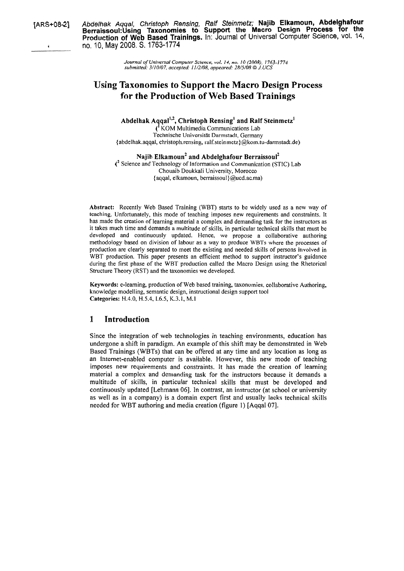**[ARS+084] Abdelhak Aqqal, Christoph Rensing, Ralf Steinmetz; Najib Elkamoun, Abdelghafour Berraissoul:Using Taxonomies to Support the Macro Design Process for the Production of Web Based Trainings. In:** Journal of Universal Computer Science, vol. **14, <sup>6</sup>**no. 10, May 2008. S. 1763-1 774

> *Journal of Universal Computer Science, vol. 14, no. 10 (2008). 1763-1 774 strbmilted: 3/10/07, accepled: 11/2/08, appeared: 28/5/08* O *J.* UCS

# **Using Taxonomies to Support the Macro Design Process for the Production of Web Based Trainings**

Abdelhak Aqqal<sup>1,2</sup>, Christoph Rensing' and Ralf Steinmetz' (' KOM Multimedia Communications Lab

Technische Universität Darmstadt, Germany {abdelhak.aqqal, christoph.rensing, **ralf.steinmetz)@kom.tu-darmstadt.de)** 

Najib Elkamoun<sup>2</sup> and Abdelghafour Berraissoul<sup>2</sup>  $\ell^2$  Science and Technology of Information and Communication (STIC) Lab Chouaib Doukkali University, Morocco {aqqal, elkamoun, berraissoul)@ucd.ac.ma)

**Abstract:** Recently Web Based Training (WBT) starts to be widely used as a new way of teaching. Unfortunately, this mode of teaching imposes new requirements and constraints. It has made the creation of learning material a complex and demanding task for the instructors as it takes much time and demands a multitude of skills, in particular technical skills that must be developed and continuously updated. Hence, we propose a collaborative authoring methodology based on division of labour as a way to produce WBTs where the processes of production are clearly separated to meet the existing and needed skills of persons involved in WBT production. This paper presents an efficient method to support instructor's guidance during the first phase of the WBT production called the Macro Design using the Rhetorical Structure Theory (RST) and the taxonomies we developed.

**Keywords:** e-leaming, production of Web based training, taxonomies, collaborative Authoring, knowledge modelling, semantic design, instructional design support tool **Categories:** H.4.0, H.5.4,1.6.5, K.3.1, M.1

### **1 Introduction**

Since the integration of web technologies in teaching environments, education has undergone a shift in paradigm. An example of this shift may be demonstrated in Web Based Trainings (WBTs) that can be offered at any time and any location as long as an Intemet-enabled Computer is available. However, this new mode of teaching imposes new requirements and constraints. It has made the creation of leaming material a complex and demanding task for the instructors because it demands a multitude of skills, in particular technical skills that must be developed and continuously updated [Lehmann 061. In contrast, an instructor (at school or university as well as in a company) is a domain expert first and usually lacks technical skills needed for WBT authoring and media creation (figure 1) [Aqqal 07].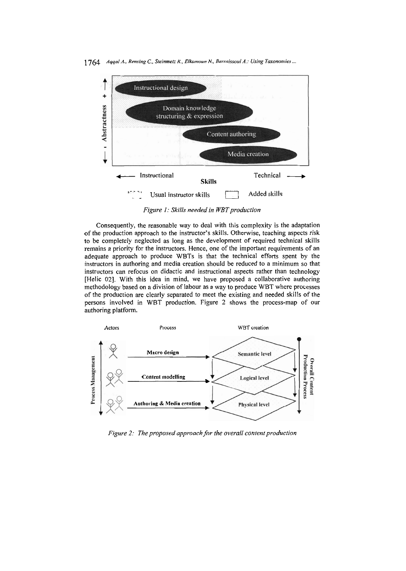1764 *A99al A., Rensing C., Steinmetz R., Elkamoun N., Berraissoul A.: Using Taxonomies* ...



**Figure 1: Skills needed in WBT production** 

Consequently, the reasonable way to deal with this complexity is the adaptation of the production approach to the instructor's skills. Otherwise, teaching aspects risk to be completely neglected as long as the development of required technical skills remains a priority for the instructors. Hence, one of the important requirements of an adequate approach to produce WBTs is that the technical efforts spent by the instructors in authoring and media creation should be reduced to a minimum so that instructors can refocus on didactic and instructional aspects rather than technology [Helic 02]. With this idea in mind, we have proposed a collaborative authoring methodology based on a division of labour as a way to produce WBT where processes of the production are clearly separated to meet the existing and needed skills of the persons involved in WBT production. Figure 2 shows the process-map of our authoring platform.



*Figure 2: The proposed approach for fhe overall confenf production*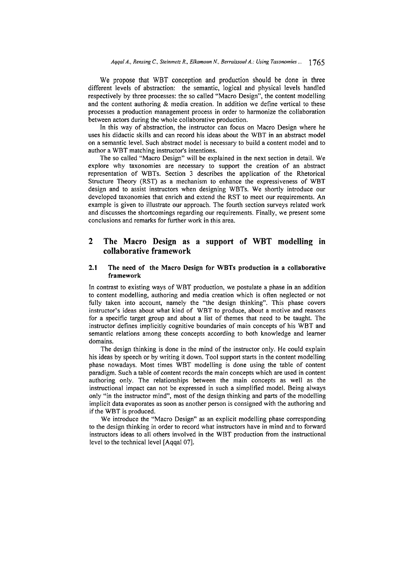We propose that WBT conception and production should be done in three different levels of abstraction: the semantic, logical and physical levels handled respectively by three processes: the so called "Macro Design", the content modelling and the content authoring & media creation. In addition we define vertical to these processes a production management process in order to harmonize the collaboration between actors during the whole collaborative production.

In this way of abstraction, the instructor can focus on Macro Design where he uses his didactic skills and can record his ideas about the WBT in an abstract model on a semantic level. Such abstract model is necessary to build a content model and to author a WBT matching instructor's intentions.

The so called "Macro Design" will be explained in the next section in detail. We explore why taxonomies are necessary to support the creation of an abstract representation of WBTs. Section **3** describes the application of the Rhetorical Structure Theory (RST) as a mechanism to enhance the expressiveness of WBT design and to assist instructors when designing WBTs. We shortly introduce our developed taxonomies that enrich and extend the RST to meet our requirements. An example is given to illustrate our approach. The fourth section surveys related work and discusses the shortcomings regarding our requirements. Finally, we present some conclusions and remarks for further work in this area.

## **2 The Macro Design as a support of WBT modelling in collaborative framework**

#### **2.1** The **need of the Macro Design for WBTs production in a collaborative framework**

In contrast to existing ways of WBT production, we postulate a phase in an addition to content modelling, authoring and media creation which is often neglected or not fully taken into account, namely the "the design thinking". This phase covers instructor's ideas about what kind of WBT to produce, about a motive and reasons for a specific target group and about a list of themes that need to be taught. The instructor defines implicitly cognitive boundaries of main concepts of his WBT and semantic relations among these concepts according to both knowledge and learner domains.

The design thinking is done in the mind of the instructor only. He could explain his ideas by speech or by writing it down. Tool support starts in the content modelling phase nowadays. Most times WBT modelling is done using the table of content paradigm. Such a table of content records the main concepts which are used in content authoring only. The relationships between the main concepts as well as the instructional impact can not be expressed in such a simplified model. Being always only "in the instructor mind", most of the design thinking and parts of the modelling implicit data evaporates as soon as another person is consigned with the authoring and if the WBT is produced.

We introduce the "Macro Design" as an explicit modelling phase corresponding to the design thinking in order to record what instructors have in mind and to forward instructors ideas to all others involved in the WBT production from the instructional level to the technical level [Aqqal 071.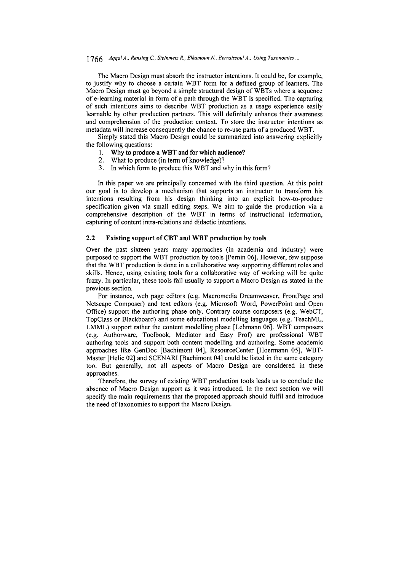### 1766 *Aqqal A., Rensing C., Steinmetz R., Elkamoun N., Berraissoul A.: Using Taxonomies ...*

The Macro Design must absorb the instructor intentions. It could be, for example, to justify why to choose a certain WBT form for a defined group of learners. The Macro Design must go beyond a simple structural design of WBTs where a sequence of e-learning material in form of a path through the WBT is specified. The capturing of such intentions aims to describe WBT production as a usage experience easily learnable by other production partners. This will definitely enhance their awareness and comprehension of the production context. To Store the instructor intentions as metadata will increase consequently the chance to re-use parts of a produced WBT.

Simply stated this Macro Design could be summarized into answering explicitly the following questions:<br>1. Why to produce

- **1.** Why to produce a WBT and for which audience?
- 2. What to produce (in term of knowledge)?
- **3.** In which form to produce this WBT and why in this form?

In this paper we are principally concerned with the third question. At this point our goal is to develop a mechanism that supports an instructor to transform his intentions resulting from his design thinking into an explicit how-to-produce specification given via small editing steps. We aim to guide the production via a comprehensive description of the WBT in terms of instructional information, capturing of content intra-relations and didactic intentions.

### **2.2 Existing support of CBT and WBT production by tools**

Over the past sixteen years many approaches (in academia and industry) were purposed to support the WBT production by tools [Pernin 061. However, few suppose that the WBT production is done in a collaborative way supporting different roles and skills. Hence, using existing tools for a collaborative way of working will be quite fuzzy. In particular, these tools fail usually to support a Macro Design as stated in the previous section.

For instance, web page editors (e.g. Macromedia Dreamweaver, FrontPage and Netscape Composer) and text editors (e.g. Microsofi Word, PowerPoint and Open Office) support the authoring phase only. Contrary course composers (e.g. WebCT, Topclass or Blackboard) and some educational modelling languages (e.g. TeachML, LMML) support rather the content modelling phase [Lehmann 06]. WBT composers (e.g. Authorware, Toolbook, Mediator and Easy Prof) are professional WBT authoring tools and support both content modelling and authoring. Some academic approaches like GenDoc [Bachimont 041, ResourceCenter [Hoermann OS], WBT-Master [Helic 02] and SCENARI [Bachimont 04] could be listed in the same category too. But generally, not all aspects of Macro Design are considered in these approaches.

Therefore, the survey of existing WBT production tools leads us to conclude the absence of Macro Design support as it was introduced. In the next section we will specify the main requirements that the proposed approach should fulfil and introduce the need of taxonomies to support the Macro Design.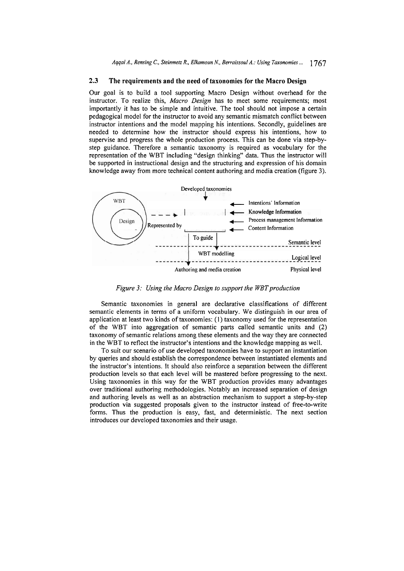#### **2.3 The requirements and the need of taxonomies for the Macro Design**

Our goal is to build a tool supporting Macro Design without overhead for the instructor. To realize this, *Macro Design* has to meet some requirements; most importantly it has to be simple and intuitive. The tool should not impose a certain pedagogical model for the instructor to avoid any semantic mismatch conflict between instructor intentions and the model mapping his intentions. Secondly, guidelines are needed to determine how the instructor should express his intentions, how to supervise and progress the whole production process. This can be done via step-bystep guidance. Therefore a semantic taxonomy is required as vocabulary for the representation of the WBT including "design thinking" data. Thus the instructor will be supported in instructional design and the structuring and expression of his domain knowledge away from more technical content authoring and media creation (figure **3).** 



Figure 3: Using the Macro Design to support the WBT production

Semantic taxonomies in general are declarative classifications of different semantic elements in terms of a uniform vocabulary. We distinguish in our area of application at least two kinds of taxonomies: (1) taxonomy used for the representation of the WBT into aggregation of semantic parts called semantic units and (2) taxonomy of semantic relations among these elements and the way they are connected in the WBT to reflect the instructor's intentions and the knowledge mapping as well.

To suit our scenario of use developed taxonomies have to support an instantiation by queries and should establish the correspondence between instantiated elements and the instructor's intentions. It should also reinforce a separation between the different production levels so that each level will be mastered before progressing to the next. Using taxonomies in this way for the WBT production provides many advantages over traditional authoring methodologies. Notably an increased separation of design and authoring levels as well as an abstraction mechanism to support a step-by-step production via suggested proposals given to the instructor instead of free-to-write forms. Thus the production is easy, fast, and deterministic. The next section introduces our developed taxonomies and their usage.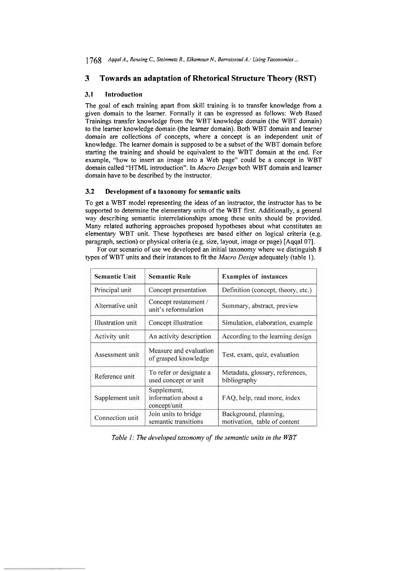**1768** *Aqqal A., Rensing C., Steinmeiz R., Elkamoun N., Berraissoul A.: Using Taxonomies* ...

## **3 Towards an adaptation of Rhetorical Structure Theory (RST)**

### **3.1** Introduction

The goal of each training apart from skill training is to transfer knowledge from a given domain to the learner. Formally it can be expressed as follows: Web Based Trainings transfer knowledge from the WBT knowledge domain (the WBT domain) to the learner knowledge domain (the learner domain). Both WBT domain and learner domain are collections of concepts, where a concept is an independent unit of knowledge. The learner domain is supposed to be a subset of the WBT domain before starting the training and should be equivalent to the WBT domain at the end. For example, "how to insert an image into a Web page" could be a concept in WBT domain called "HTML introduction". In *Macro Design* both WBT domain and learner domain have to be described by the instructor.

#### **3.2** Development of a taxonomy for semantic units

To get a WBT model representing the ideas of an instructor, the instructor has to be supported to determine the elementary units of the WBT first. Additionally, a general way describing semantic interrelationships among these units should be provided. Many related authoring approaches proposed hypotheses about what constitutes an elementary WBT unit. These hypotheses are based either on logical criteria (e.g. paragraph, section) or physical criteria (e.g. size, layout, image or page) [Aqqal07].

For our scenario of use we developed an initial taxonomy where we distinguish 8 types of WBT units and their instances to fit the *Macro Design* adequately (table *1).* 

| <b>Semantic Unit</b>     | <b>Semantic Rule</b>                               | <b>Examples of instances</b>                          |
|--------------------------|----------------------------------------------------|-------------------------------------------------------|
| Principal unit           | Concept presentation                               | Definition (concept, theory, etc.)                    |
| Alternative unit         | Concept restatement /<br>unit's reformulation      | Summary, abstract, preview                            |
| <b>Illustration</b> unit | Concept illustration                               | Simulation, elaboration, example                      |
| Activity unit            | An activity description                            | According to the learning design                      |
| Assessment unit          | Measure and evaluation<br>of grasped knowledge     | Test, exam, quiz, evaluation                          |
| Reference unit           | To refer or designate a<br>used concept or unit    | Metadata, glossary, references,<br>bibliography       |
| Supplement unit          | Supplement,<br>information about a<br>concept/unit | FAQ, help, read more, index                           |
| Connection unit          | Join units to bridge<br>semantic transitions       | Background, planning,<br>motivation, table of content |

*Table I: The developed taxonomy of the semantic units in the WBT*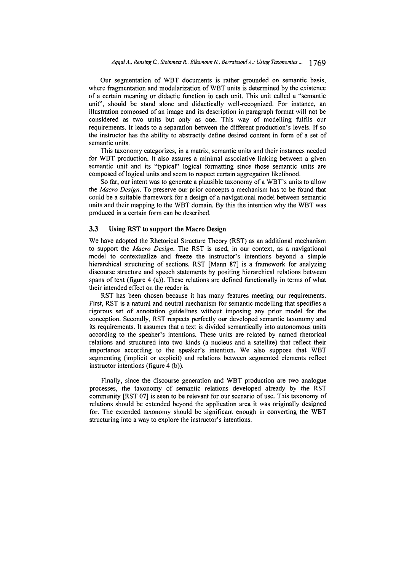Our segmentation of WBT documents is rather grounded on semantic basis, where fragmentation and modularization of WBT units is determined by the existence of a certain meaning or didactic function in each unit. This unit called a "semantic unit", should be stand alone and didactically well-recognized. For instance, an illustration composed of an image and its description in paragraph format will not be considered as two units but only as one. This way of modelling fulfils our requirements. It leads to a separation between the different production's levels. If so the instructor has the ability to abstractly define desired content in form of a set of semantic units.

This taxonomy categorizes, in a matrix, semantic units and their instances needed for WBT production. It also assures a minimal associative linking between a given semantic unit and its "typical" logical formatting since those semantic units are composed of logical units and seem to respect certain aggregation likelihood.

So far, our intent was to generate a plausible taxonomy of a WBT's units to allow the *Macro Design.* To preserve our prior concepts a mechanism has to be found that could be a suitable fiamework for a design of a navigational model between semantic units and their mapping to the WBT domain. By this the intention why the WBT was produced in a certain form can be described.

#### **3.3** Using RST to support the Macro Design

We have adopted the Rhetorical Structure Theory (RST) as an additional mechanism to support the *Macro Design.* The RST is used, in our context, as a navigational model to contextualize and fieeze the instructor's intentions beyond a simple hierarchical structuring of sections. RST [Mann **871** is a framework for analyzing discourse structure and speech statements by positing hierarchical relations between spans of text (figure 4 (a)). These relations are defined functionally in terms of what their intended effect on the reader is.

RST has been chosen because it has many features meeting our requirements. First, RST is a natural and neutral mechanism for semantic modelling that specifies a rigorous set of annotation guidelines without imposing any prior model for the conception. Secondly, RST respects perfectly our developed semantic taxonomy and its requirements. It assumes that a text is divided semantically into autonomous units according to the speaker's intentions. These units are related by named rhetorical relations and structured into two kinds (a nucleus and a satellite) that reflect their importance according to the speaker's intention. We also suppose that WBT segmenting (implicit or explicit) and relations between segmented elements reflect instructor intentions (figure 4 (b)).

Finally, since the discourse generation and WBT production are two analogue processes, the taxonomy of semantic relations developed already by the RST community [RST **071** is seen to be relevant for our scenario of use. This taxonomy of relations should be extended beyond the application area it was originally designed for. The extended taxonomy should be significant enough in converting the WBT structuring into a way to explore the instructor's intentions.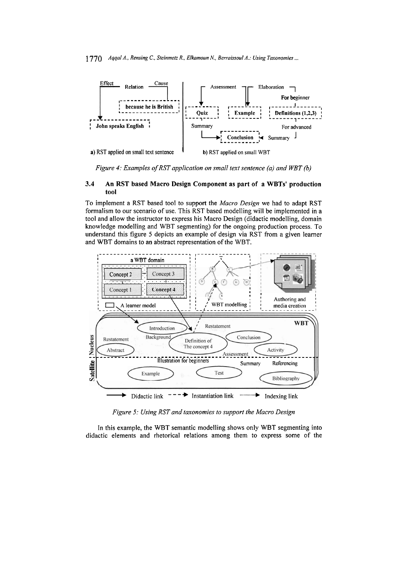

*Figure 4: Examples of RST application on small text sentence (a) and WBT (b)* 

### **3.4 An RST based Macro Design Component as part of a WBTs' production tool**

To implement a RST based tool to support the *Macro Design* we had to adapt RST formalism to our scenario of use. This RST based modelling will be implemented in a tool and allow the instructor to express his Macro Design (didactic modelling, domain knowledge modelling and WBT segmenting) for the ongoing production process. To understand this figure 5 depicts an example of design via RST from a given leamer and WBT domains to an abstract representation of the WBT.



*Figure 5: Using RST und taxonomies to support the Macro Design* 

In this example, the WBT semantic modelling shows only WBT segmenting into didactic elements and rhetorical relations among them to express some of the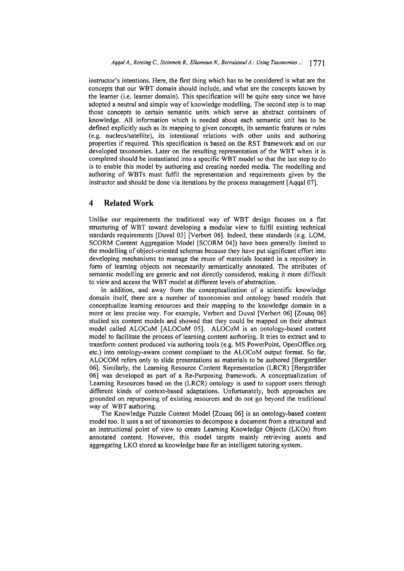instructor's intentions. Here, the first thing which has to be considered is what are the concepts that our WBT domain should include, and what are the concepts known by the learner (i.e. leamer domain). This specification will be quite easy since we have adopted a neutral and simple way of knowledge modelling. The second step is to map those concepts to certain semantic units which serve as abstract containers of knowledge. All information which is needed about each semantic unit has to be defined explicitly such as its mapping to given concepts, its semantic features or rules (e.g. nucleus/satellite), its intentional relations with other units and authoring properties if required. This specification is based on the RST framework and on our developed taxonomies. Later on the resulting representation of the WBT when it is completed should be instantiated into a specific WBT model so that the last step to do is to enable this model by authoring and creating needed media. The modelling and authoring of WBTs must fulfil the representation and requirements given by the instructor and should be done via iterations by the process management [Aqqal 07].

### **4 Related Work**

Unlike our requirements the traditional way of WBT design focuses on a flat structuring of WBT toward developing a modular view to fulfil existing technical standards requirements [Duval 03] [Verbert 06]. Indeed, these standards (e.g. LOM, SCORM Content Aggregation Model [SCORM 041) have been generally limited to the modelling of object-oriented schemas because they have put significant effort into developing mechanisms to manage the reuse of materials located in a repository in form of learning objects not necessarily semantically annotated. The attributes of semantic modelling are generic and not directly considered, making it more difficult to view and access the WBT model at different levels of abstraction.

In addition, and away from the conceptualization of a scientific knowledge domain itself, there are a number of taxonomies and ontology based models that conceptualize learning resources and their mapping to the knowledge domain in a more or less precise way. For example, Verbert and Duval [Verbert 061 [Zouaq 061 studied six content models and showed that they could be mapped on their abstract model called ALOCoM [ALOCoM 051. ALOCoM is an ontology-based content model to facilitate the process of learning content authoring. It tries to extract and to transform content produced via authoring tools (e.g. MS PowerPoint, 0penOffice.org etc.) into ontology-aware content compliant to the ALOCoM output format. So far, ALOCOM refers only to slide presentations as materials to be authored [Bergsträßer 061. Similarly, the Leaming Resource Content Representation (LRCR) [Bergsträßer 06] was developed as part of a Re-Purposing framework. A conceptualization of Learning Resources based on the (LRCR) ontology is used to support users through different kinds of context-based adaptations. Unfortunately, both approaches are grounded on repurposing of existing resources and do not go beyond the traditional way of WBT authoring.

The Knowledge Puzzle Content Model [Zouaq 06] is an ontology-based content model too. It uses a set of taxonomies to decompose a document from a structural and an instructional point of view to create Learning Knowledge Objects (LKOs) from annotated content. However, this model targets mainly retrieving assets and aggregating LKO stored **as** knowledge base for an intelligent tutoring System.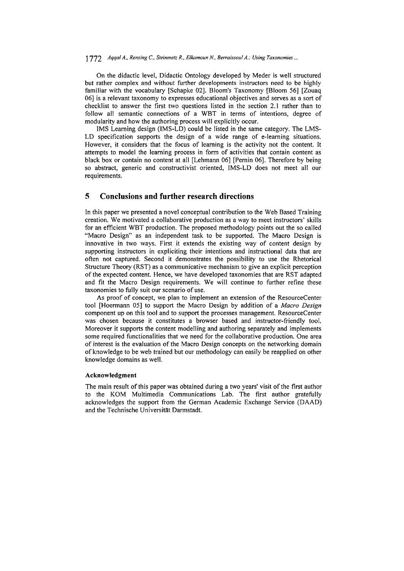### 1 772 *Aqqal A., Rensing C.. Sleinmelz R., Elkamoun N., Berraissoul A.: Using Taxonomies* ...

On the didactic level, Didactic Ontology developed by Meder is well structured but rather complex and without further developments instructors need to be highly familiar with the vocabulary [Schapke 02]. Bloom's Taxonomy [Bloom 56] [Zouaq 061 is a relevant taxonomy to expresses educational objectives and serves as a sort of checklist to answer the first two questions listed in the section 2.1 rather than to follow all semantic connections of a WBT in terms of intentions, degree of modularity and how the authoring process will explicitly occur.

IMS Learning design (IMS-LD) could be listed in the same category. The LMS-LD specification supports the design of a wide range of e-learning situations. However, it considers that the focus of learning is the activity not the content. It attempts to model the learning process in form of activities that contain content as black box or contain no content at all [Lehmann 061 [Pernin 061. Therefore by being so abstract, generic and constructivist oriented, IMS-LD does not meet all our requirements.

### **5 Conclusions and further research directions**

In this paper we presented a novel conceptual contribution to the Web Based Training creation. We motivated a collaborative production as a way to meet instructors' skills for an efficient WBT production. The proposed methodology points out the so called "Macro Design" as an independent task to be supported. The Macro Design is innovative in two ways. First it extends the existing way of content design by supporting instructors in expliciting their intentions and instructional data that are often not captured. Second it demonstrates the possibility to use the Rhetorical Structure Theory (RST) as a communicative mechanism to give an explicit perception of the expected content. Hence, we have developed taxonomies that are RST adapted and fit the Macro Design requirements. We will continue to further refine these taxonomies to fully suit our scenario of use.

As proof of concept, we plan to implement an extension of the ResourceCenter tool [Hoermann 05] to support the Macro Design by addition of a *Macro Design* component up on this tool and to support the processes management. ResourceCenter was chosen because it constitutes a browser based and instructor-friendly tool. Moreover it supports the content modelling and authoring separately and implements some required functionalities that we need for the collaborative production. One area of interest is the evaluation of the Macro Design concepts on the networking domain of knowledge to be web trained but our methodology can easily be reapplied on other knowledge domains as well.

#### **Acknowledgment**

The main result of this paper was obtained during a two years' visit of the first author to the KOM Multimedia Communications Lab. The first author gratefully acknowledges the support from the German Academic Exchange Service (DAAD) and the Technische Universität Darmstadt.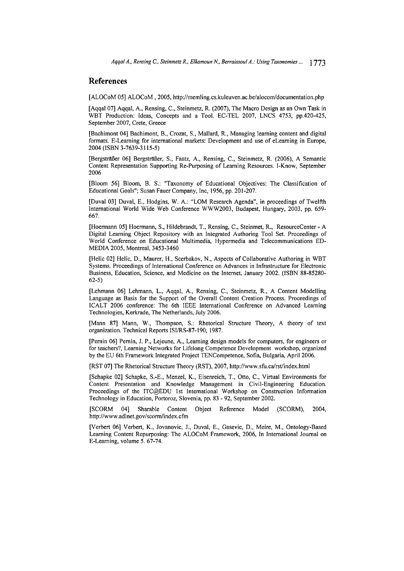### **References**

[ALOCoM 05] ALOCoM, 2005, http://memling.cs.kuleuven.ac.be/alocom/documentation.php

[Aqqal 071 Aqqal, A., Rensing, C., Steinmetz, R. (2007), The Macro Design as an Own Task in WBT Production: Ideas, Concepts and a Tool. EC-TEL 2007, LNCS 4753, pp.420-425, September 2007, Crete, Greece

[Bachimont 041 Bachimont, B., Crozat, S., Mallard, R., Managing leaming content and digital formats. E-Leaming for international markets: Development and use of eLeaming in Europe, 2004 (ISBN 3-7639-3 1 15-5)

[Bergsträßer 061 Bergsträßer, S., Faatz, A., Rensing, C., Steinmetz, R. (2006), A Semantic Content Representation Supporting Re-Purposing of Learning Resources. I-Know, September 2006

[Bloom 561 Bloom, B. S.: "Taxonomy of Educational Objectives: The Classification of Educational Goals"; Susan Fauer Company, Inc, 1956, pp. 201-207.

[Duval 03] Duval, E., Hodgins, W. A.: "LOM Research Agenda", in proceedings of Twelfth International World Wide Web Conference WWW2003, Budapest, Hungary, 2003, pp. 659- 667.

[Hoermann 051 Hoermann, S., Hildebrandt, T., Rensing, C., Steinmet, R., ResourceCenter - A Digital Leaming Object Repository with an Integrated Authoring Tool Set. Proceedings of World Conference on Educational Multimedia, Hypermedia and Telecommunications ED-MEDIA 2005, Montreal, 3453-3460

[Helic 02] Helic, D., Maurer, H., Scerbakov, N., Aspects of Collaborative Authoring in WBT Systems. Proceedings of Intemational Conference on Advances in Infiastructure for Electronic Business, Education, Science, and Medicine on the Internet, January 2002. (ISBN 88-85280- 62-5)

[Lehmann 061 Lehmann, L., Aqqal, A., Rensing, C., Steinmetz, R., A Content Modelling Language as Basis for the Support of the Overall Content Creation Process. Proceedings of ICALT 2006 conference: The 6th IEEE International Conference on Advanced Leaming Technologies, Kerkrade, The Netherlands, July 2006.

[Mann 871 Mann, W., Thompson, S.: Rhetorical Structure Theory, A theory of text organization. Technical Reports ISI/RS-87-190, 1987.

[Pemin 061 Pemin, J. P., Lejeune, A., Learning design models for Computers, for engineers or for teachers?, Learning Networks for Lifelong Competence Development workshop, organized by the EU 6th Framework Integrated Project TENCompetence, Sofia, Bulgaria, April 2006.

[RST 071 The Rhetorical Structure Theory (RST), 2007, http://www.sfu.ca/rst/index.html

[Schapke 021 Schapke, S.-E., Menzel, K., Eisenreich, T., Otto, C., Virtual Environments for Content Presentation and Knowledge Management in Civil-Engineering Education. Proceedings of the ITC@EDU 1st Intemational Workshop on Construction Information Technology in Education, Portoroz, Slovenia, pp. 83 - 92, September 2002.

[SCORM 041 Sharable Content Object Reference Model (SCORM), 2004, http://www.adlnet.gov/scorm/index.cfm

[Verbert 061 Verbert, K., Jovanovic, J., Duval, E., Gasevic, D., Meire, M., Ontology-Based Learning Content Repurposing: The ALOCoM Framework, 2006, In Intemational Joumal on E-Leaming, volume 5. 67-74.